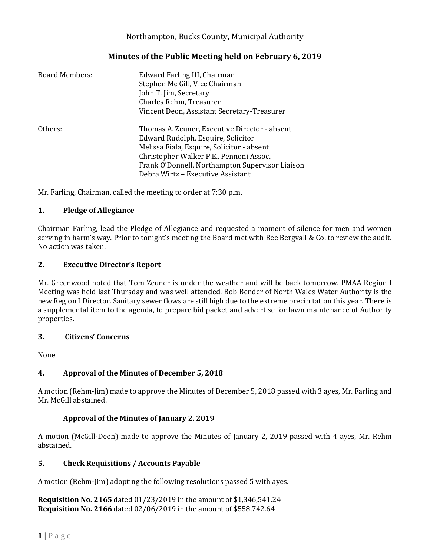## Northampton, Bucks County, Municipal Authority

# **Minutes of the Public Meeting held on February 6, 2019**

| <b>Board Members:</b> | Edward Farling III, Chairman<br>Stephen Mc Gill, Vice Chairman<br>John T. Jim, Secretary<br>Charles Rehm, Treasurer<br>Vincent Deon, Assistant Secretary-Treasurer                                                                                                   |
|-----------------------|----------------------------------------------------------------------------------------------------------------------------------------------------------------------------------------------------------------------------------------------------------------------|
| Others:               | Thomas A. Zeuner, Executive Director - absent<br>Edward Rudolph, Esquire, Solicitor<br>Melissa Fiala, Esquire, Solicitor - absent<br>Christopher Walker P.E., Pennoni Assoc.<br>Frank O'Donnell, Northampton Supervisor Liaison<br>Debra Wirtz – Executive Assistant |

Mr. Farling, Chairman, called the meeting to order at 7:30 p.m.

### **1. Pledge of Allegiance**

Chairman Farling, lead the Pledge of Allegiance and requested a moment of silence for men and women serving in harm's way. Prior to tonight's meeting the Board met with Bee Bergvall & Co. to review the audit. No action was taken.

### **2. Executive Director's Report**

Mr. Greenwood noted that Tom Zeuner is under the weather and will be back tomorrow. PMAA Region I Meeting was held last Thursday and was well attended. Bob Bender of North Wales Water Authority is the new Region I Director. Sanitary sewer flows are still high due to the extreme precipitation this year. There is a supplemental item to the agenda, to prepare bid packet and advertise for lawn maintenance of Authority properties.

### **3. Citizens' Concerns**

None

## **4. Approval of the Minutes of December 5, 2018**

A motion (Rehm-Jim) made to approve the Minutes of December 5, 2018 passed with 3 ayes, Mr. Farling and Mr. McGill abstained.

### **Approval of the Minutes of January 2, 2019**

A motion (McGill-Deon) made to approve the Minutes of January 2, 2019 passed with 4 ayes, Mr. Rehm abstained.

### **5. Check Requisitions / Accounts Payable**

A motion (Rehm-Jim) adopting the following resolutions passed 5 with ayes.

**Requisition No. 2165** dated 01/23/2019 in the amount of \$1,346,541.24 **Requisition No. 2166** dated 02/06/2019 in the amount of \$558,742.64